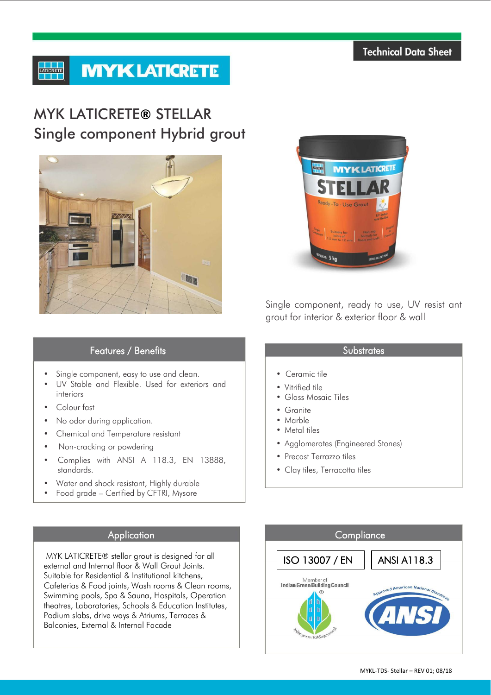# **MYK LATICRETE LATICRETE**

# MYK LATICRETE**®** STELLAR Single component Hybrid grout





Single component, ready to use, UV resist ant grout for interior & exterior floor & wall

# Features / Benefits

- Single component, easy to use and clean.
- UV Stable and Flexible. Used for exteriors and interiors
- Colour fast
- No odor during application.
- Chemical and Temperature resistant
- Non-cracking or powdering
- Complies with ANSI A 118.3, EN 13888, standards.
- Water and shock resistant, Highly durable
- Food grade Certified by CFTRI, Mysore

MYK LATICRETE® stellar grout is designed for all external and Internal floor & Wall Grout Joints. Suitable for Residential & Institutional kitchens, Cafeterias & Food joints, Wash rooms & Clean rooms, Swimming pools, Spa & Sauna, Hospitals, Operation theatres, Laboratories, Schools & Education Institutes, Podium slabs, drive ways & Atriums, Terraces & Balconies, External & Internal Facade

# **Substrates**

- Ceramic tile
- Vitrified tile
- Glass Mosaic Tiles
- Granite
- Marble
- Metal tiles
- Agglomerates (Engineered Stones)
- Precast Terrazzo tiles
- Clay tiles, Terracotta tiles

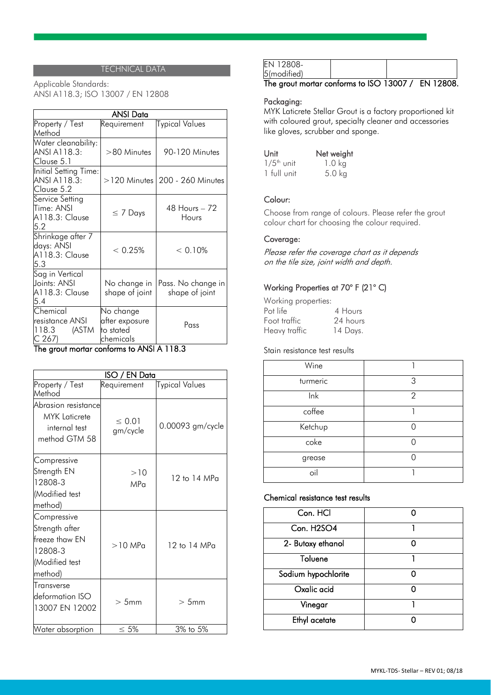### TECHNICAL DATA

Applicable Standards: ANSI A118.3; ISO 13007 / EN 12808

| <b>ANSI Data</b>                                                                |                                                       |                                      |  |  |
|---------------------------------------------------------------------------------|-------------------------------------------------------|--------------------------------------|--|--|
| Property / Test<br>Method                                                       | Requirement                                           | Typical Values                       |  |  |
| Water cleanability:<br>ANSI A118.3:<br>Clause 5.1                               | >80 Minutes                                           | 90-120 Minutes                       |  |  |
| Initial Setting Time:<br>ANSI A118.3:<br>Clause 5.2                             |                                                       | $>$ 120 Minutes 200 - 260 Minutes    |  |  |
| Service Setting<br>Time: ANSI<br>A118.3: Clause<br>5.2                          | $\leq 7$ Days                                         | 48 Hours – 72<br>Hours               |  |  |
| Shrinkage after 7<br>days: ANSI<br>A118.3: Clause<br>5.3                        | < 0.25%                                               | < 0.10%                              |  |  |
| Sag in Vertical<br>Joints: ANSI<br>A118.3: Clause<br>5.4                        | No change in<br>shape of joint                        | Pass. No change in<br>shape of joint |  |  |
| $\overline{\mathsf{Chemical}}$<br>resistance ANSI<br>(ASTM<br>118.3<br>$C$ 267) | No change<br>after exposure<br>to stated<br>chemicals | Pass                                 |  |  |

# The grout mortar conforms to ANSI A 118.3

| <b>ISO / EN Data</b>                                                                    |                         |                       |  |
|-----------------------------------------------------------------------------------------|-------------------------|-----------------------|--|
| Property / Test<br>Method                                                               | Requirement             | <b>Typical Values</b> |  |
| Abrasion resistance<br><b>MYK</b> Laticrete<br>internal test<br>method GTM 58           | $\leq 0.01$<br>gm/cycle | 0.00093 gm/cycle      |  |
| Compressive<br>Strength EN<br>12808-3<br>(Modified test<br>method)                      | >10<br>MP <sub>0</sub>  | $12$ to $14$ MPa      |  |
| Compressive<br>Strength after<br>freeze thaw EN<br>12808-3<br>(Modified test<br>method) | $>10$ MP $\alpha$       | 12 to 14 MPa          |  |
| Transverse<br>deformation ISO<br>13007 EN 12002                                         | $>5$ mm                 | >5mm                  |  |
| Water absorption                                                                        | $\leq 5\%$              | 3% to 5%              |  |

| 5(modified) |  |  |  |  |  |
|-------------|--|--|--|--|--|
| FN 12808-   |  |  |  |  |  |

#### The grout mortar conforms to ISO 13007 / EN 12808.

### Packaging:

MYK Laticrete Stellar Grout is a factory proportioned kit with coloured grout, specialty cleaner and accessories like gloves, scrubber and sponge.

| Unit                     | Net weight |
|--------------------------|------------|
| $1/5$ <sup>th</sup> unit | 1.0 kg     |
| 1 full unit              | $5.0$ kg   |

# Colour:

Choose from range of colours. Please refer the grout colour chart for choosing the colour required.

# Coverage:

Please refer the coverage chart as it depends on the tile size, joint width and depth.

# Working Properties at 70° F (21° C)

| Working properties: |          |
|---------------------|----------|
| Pot life            | 4 Hours  |
| Foot traffic        | 24 hours |
| Heavy traffic       | 14 Days. |

#### Stain resistance test results

| Wine     |                |
|----------|----------------|
| turmeric | 3              |
| lnk      | $\overline{2}$ |
| coffee   |                |
| Ketchup  |                |
| coke     |                |
| grease   |                |
| oil      |                |

#### Chemical resistance test results

| Con. HCl            |  |
|---------------------|--|
| Con. H2SO4          |  |
| 2- Butoxy ethanol   |  |
| Toluene             |  |
| Sodium hypochlorite |  |
| Oxalic acid         |  |
| Vinegar             |  |
| Ethyl acetate       |  |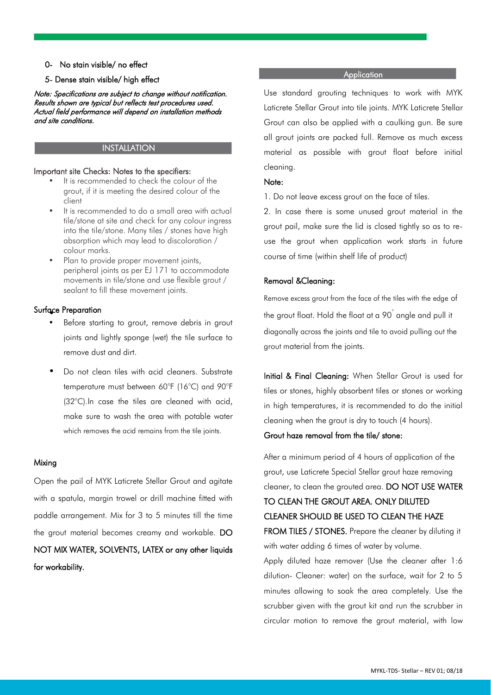#### 0- No stain visible/ no effect

#### 5- Dense stain visible/ high effect

Note: Specifications are subject to change without notification. Results shown are typical but reflects test procedures used. Actual field performance will depend on installation methods and site conditions.

#### INSTALLATION

#### Important site Checks: Notes to the specifiers:

- It is recommended to check the colour of the grout, if it is meeting the desired colour of the client
- It is recommended to do a small area with actual tile/stone at site and check for any colour ingress into the tile/stone. Many tiles / stones have high absorption which may lead to discoloration / colour marks.
- Plan to provide proper movement joints, peripheral joints as per EJ 171 to accommodate movements in tile/stone and use flexible grout / sealant to fill these movement joints.

#### Surface Preparation •

- Before starting to grout, remove debris in grout joints and lightly sponge (wet) the tile surface to remove dust and dirt.
- Do not clean tiles with acid cleaners. Substrate temperature must between 60°F (16°C) and 90°F (32°C).In case the tiles are cleaned with acid, make sure to wash the area with potable water which removes the acid remains from the tile joints.

#### Mixing

Open the pail of MYK Laticrete Stellar Grout and agitate with a spatula, margin trowel or drill machine fitted with paddle arrangement. Mix for 3 to 5 minutes till the time the grout material becomes creamy and workable. DO NOT MIX WATER, SOLVENTS, LATEX or any other liquids for workability.

#### **Application**

Use standard grouting techniques to work with MYK Laticrete Stellar Grout into tile joints. MYK Laticrete Stellar Grout can also be applied with a caulking gun. Be sure all grout joints are packed full. Remove as much excess material as possible with grout float before initial cleaning.

#### Note:

l

1. Do not leave excess grout on the face of tiles.

2. In case there is some unused grout material in the grout pail, make sure the lid is closed tightly so as to reuse the grout when application work starts in future course of time (within shelf life of product)

#### Removal &Cleaning:

Remove excess grout from the face of the tiles with the edge of the grout float. Hold the float at a 90° angle and pull it diagonally across the joints and tile to avoid pulling out the grout material from the joints.

Initial & Final Cleaning: When Stellar Grout is used for tiles or stones, highly absorbent tiles or stones or working in high temperatures, it is recommended to do the initial cleaning when the grout is dry to touch (4 hours).

#### Grout haze removal from the tile/ stone:

After a minimum period of 4 hours of application of the grout, use Laticrete Special Stellar grout haze removing cleaner, to clean the grouted area. DO NOT USE WATER TO CLEAN THE GROUT AREA. ONLY DILUTED CLEANER SHOULD BE USED TO CLEAN THE HAZE FROM TILES / STONES. Prepare the cleaner by diluting it with water adding 6 times of water by volume.

Apply diluted haze remover (Use the cleaner after 1:6 dilution- Cleaner: water) on the surface, wait for 2 to 5 minutes allowing to soak the area completely. Use the scrubber given with the grout kit and run the scrubber in circular motion to remove the grout material, with low